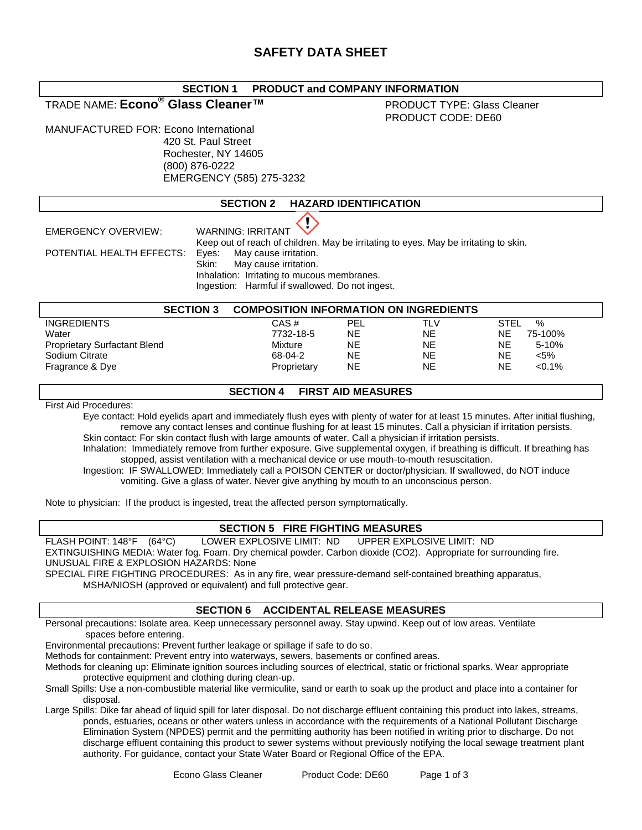## **SECTION 1 PRODUCT and COMPANY INFORMATION**

## TRADE NAME: **Econo® Glass Cleaner™** PRODUCT TYPE: Glass Cleaner

# PRODUCT CODE: DE60

MANUFACTURED FOR: Econo International 420 St. Paul Street Rochester, NY 14605 (800) 876-0222 EMERGENCY (585) 275-3232

## **SECTION 2 HAZARD IDENTIFICATION**

POTENTIAL HEALTH EFFECTS: Eyes:

EMERGENCY OVERVIEW: WARNING: IRRITANT Keep out of reach of children. May be irritating to eyes. May be irritating to skin.<br>Eyes: May cause irritation. Skin: May cause irritation. Inhalation: Irritating to mucous membranes. Ingestion: Harmful if swallowed. Do not ingest.

| <b>SECTION 3</b>                    | <b>COMPOSITION INFORMATION ON INGREDIENTS</b> |            |           |             |           |
|-------------------------------------|-----------------------------------------------|------------|-----------|-------------|-----------|
| <b>INGREDIENTS</b>                  | CAS#                                          | <b>PEL</b> | TLV       | <b>STEL</b> | %         |
| Water                               | 7732-18-5                                     | <b>NE</b>  | <b>NE</b> | ΝE          | 75-100%   |
| <b>Proprietary Surfactant Blend</b> | Mixture                                       | <b>NE</b>  | <b>NE</b> | ΝE          | $5 - 10%$ |
| Sodium Citrate                      | 68-04-2                                       | <b>NE</b>  | NE        | NΕ          | <5%       |
| Fragrance & Dye                     | Proprietary                                   | <b>NE</b>  | NE        | NE          | $< 0.1\%$ |

## **SECTION 4 FIRST AID MEASURES**

First Aid Procedures:

Eye contact: Hold eyelids apart and immediately flush eyes with plenty of water for at least 15 minutes. After initial flushing, remove any contact lenses and continue flushing for at least 15 minutes. Call a physician if irritation persists. Skin contact: For skin contact flush with large amounts of water. Call a physician if irritation persists.

Inhalation: Immediately remove from further exposure. Give supplemental oxygen, if breathing is difficult. If breathing has stopped, assist ventilation with a mechanical device or use mouth-to-mouth resuscitation.

Ingestion: IF SWALLOWED: Immediately call a POISON CENTER or doctor/physician. If swallowed, do NOT induce vomiting. Give a glass of water. Never give anything by mouth to an unconscious person.

Note to physician: If the product is ingested, treat the affected person symptomatically.

#### **SECTION 5 FIRE FIGHTING MEASURES**

FLASH POINT: 148°F (64°C) LOWER EXPLOSIVE LIMIT: ND UPPER EXPLOSIVE LIMIT: ND EXTINGUISHING MEDIA: Water fog. Foam. Dry chemical powder. Carbon dioxide (CO2). Appropriate for surrounding fire. UNUSUAL FIRE & EXPLOSION HAZARDS: None

SPECIAL FIRE FIGHTING PROCEDURES: As in any fire, wear pressure-demand self-contained breathing apparatus, MSHA/NIOSH (approved or equivalent) and full protective gear.

#### **SECTION 6 ACCIDENTAL RELEASE MEASURES**

Personal precautions: Isolate area. Keep unnecessary personnel away. Stay upwind. Keep out of low areas. Ventilate spaces before entering.

Environmental precautions: Prevent further leakage or spillage if safe to do so.

Methods for containment: Prevent entry into waterways, sewers, basements or confined areas.

Methods for cleaning up: Eliminate ignition sources including sources of electrical, static or frictional sparks. Wear appropriate protective equipment and clothing during clean-up.

Small Spills: Use a non-combustible material like vermiculite, sand or earth to soak up the product and place into a container for disposal.

Large Spills: Dike far ahead of liquid spill for later disposal. Do not discharge effluent containing this product into lakes, streams, ponds, estuaries, oceans or other waters unless in accordance with the requirements of a National Pollutant Discharge Elimination System (NPDES) permit and the permitting authority has been notified in writing prior to discharge. Do not discharge effluent containing this product to sewer systems without previously notifying the local sewage treatment plant authority. For guidance, contact your State Water Board or Regional Office of the EPA.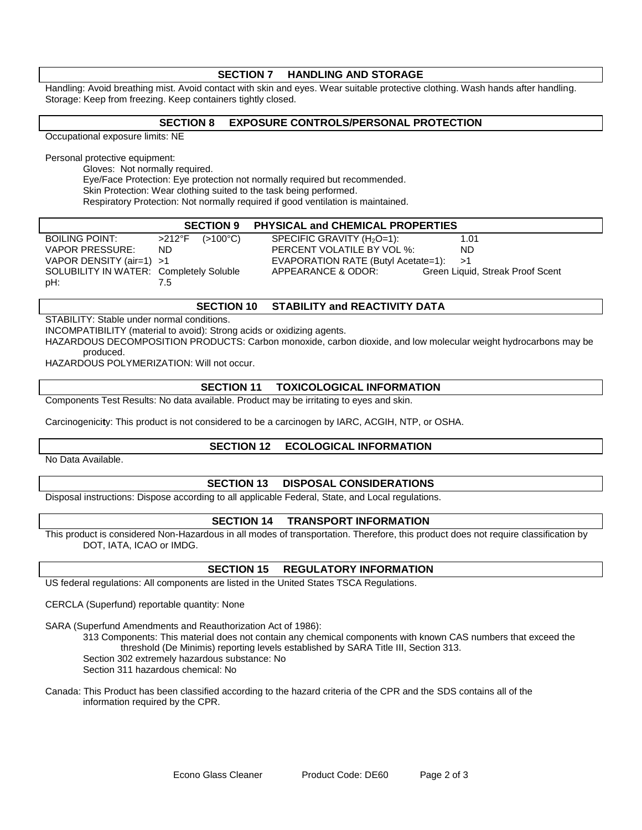| <b>SECTION 7</b><br><b>HANDLING AND STORAGE</b>                                                                                 |                                                                                  |  |  |  |  |  |
|---------------------------------------------------------------------------------------------------------------------------------|----------------------------------------------------------------------------------|--|--|--|--|--|
| Handling: Avoid breathing mist. Avoid contact with skin and eyes. Wear suitable protective clothing. Wash hands after handling. |                                                                                  |  |  |  |  |  |
| Storage: Keep from freezing. Keep containers tightly closed.                                                                    |                                                                                  |  |  |  |  |  |
|                                                                                                                                 |                                                                                  |  |  |  |  |  |
| <b>SECTION 8</b><br><b>EXPOSURE CONTROLS/PERSONAL PROTECTION</b>                                                                |                                                                                  |  |  |  |  |  |
| Occupational exposure limits: NE                                                                                                |                                                                                  |  |  |  |  |  |
|                                                                                                                                 |                                                                                  |  |  |  |  |  |
| Personal protective equipment:<br>Gloves: Not normally required.                                                                |                                                                                  |  |  |  |  |  |
|                                                                                                                                 | Eye/Face Protection: Eye protection not normally required but recommended.       |  |  |  |  |  |
| Skin Protection: Wear clothing suited to the task being performed.                                                              |                                                                                  |  |  |  |  |  |
|                                                                                                                                 | Respiratory Protection: Not normally required if good ventilation is maintained. |  |  |  |  |  |
|                                                                                                                                 |                                                                                  |  |  |  |  |  |
|                                                                                                                                 | <b>SECTION 9</b><br><b>PHYSICAL and CHEMICAL PROPERTIES</b>                      |  |  |  |  |  |
| <b>BOILING POINT:</b>                                                                                                           | $>212^{\circ}F$<br>SPECIFIC GRAVITY $(H_2O=1)$ :<br>$(>100^{\circ}C)$<br>1.01    |  |  |  |  |  |
| <b>VAPOR PRESSURE:</b>                                                                                                          | PERCENT VOLATILE BY VOL %:<br>ND.<br>ND                                          |  |  |  |  |  |
| VAPOR DENSITY (air=1)                                                                                                           | EVAPORATION RATE (Butyl Acetate=1):<br>>1<br>>1                                  |  |  |  |  |  |
| SOLUBILITY IN WATER: Completely Soluble                                                                                         | APPEARANCE & ODOR:<br>Green Liquid, Streak Proof Scent                           |  |  |  |  |  |
| pH:                                                                                                                             | 7.5                                                                              |  |  |  |  |  |
|                                                                                                                                 |                                                                                  |  |  |  |  |  |
|                                                                                                                                 | <b>SECTION 10</b><br><b>STABILITY and REACTIVITY DATA</b>                        |  |  |  |  |  |
| STABILITY: Stable under normal conditions.                                                                                      | $\mathbf{R}$                                                                     |  |  |  |  |  |

INCOMPATIBILITY (material to avoid): Strong acids or oxidizing agents.

HAZARDOUS DECOMPOSITION PRODUCTS: Carbon monoxide, carbon dioxide, and low molecular weight hydrocarbons may be produced.

HAZARDOUS POLYMERIZATION: Will not occur.

#### **SECTION 11 TOXICOLOGICAL INFORMATION**

Components Test Results: No data available. Product may be irritating to eyes and skin.

Carcinogenici**t**y: This product is not considered to be a carcinogen by IARC, ACGIH, NTP, or OSHA.

## **SECTION 12 ECOLOGICAL INFORMATION**

No Data Available.

## **SECTION 13 DISPOSAL CONSIDERATIONS**

Disposal instructions: Dispose according to all applicable Federal, State, and Local regulations.

#### **SECTION 14 TRANSPORT INFORMATION**

This product is considered Non-Hazardous in all modes of transportation. Therefore, this product does not require classification by DOT, IATA, ICAO or IMDG.

## **SECTION 15 REGULATORY INFORMATION**

US federal regulations: All components are listed in the United States TSCA Regulations.

CERCLA (Superfund) reportable quantity: None

SARA (Superfund Amendments and Reauthorization Act of 1986):

313 Components: This material does not contain any chemical components with known CAS numbers that exceed the threshold (De Minimis) reporting levels established by SARA Title III, Section 313.

Section 302 extremely hazardous substance: No

Section 311 hazardous chemical: No

Canada: This Product has been classified according to the hazard criteria of the CPR and the SDS contains all of the information required by the CPR.